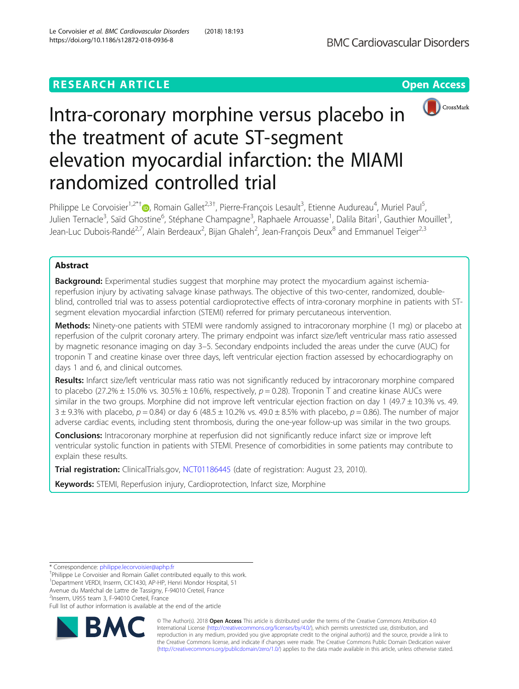# **RESEARCH ARTICLE Example 2014 12:30 The Contract of Contract ACCESS**



# Intra-coronary morphine versus placebo in the treatment of acute ST-segment elevation myocardial infarction: the MIAMI randomized controlled trial

Philippe Le Corvoisier<sup>1[,](http://orcid.org/0000-0003-0402-9591)2\*†</sup>®, Romain Gallet<sup>2,3†</sup>, Pierre-François Lesault<sup>3</sup>, Etienne Audureau<sup>4</sup>, Muriel Paul<sup>5</sup> , Julien Ternacle<sup>3</sup>, Saïd Ghostine<sup>6</sup>, Stéphane Champagne<sup>3</sup>, Raphaele Arrouasse<sup>1</sup>, Dalila Bitari<sup>1</sup>, Gauthier Mouillet<sup>3</sup> , Jean-Luc Dubois-Randé<sup>2,7</sup>, Alain Berdeaux<sup>2</sup>, Bijan Ghaleh<sup>2</sup>, Jean-François Deux<sup>8</sup> and Emmanuel Teiger<sup>2,3</sup>

## Abstract

Background: Experimental studies suggest that morphine may protect the myocardium against ischemiareperfusion injury by activating salvage kinase pathways. The objective of this two-center, randomized, doubleblind, controlled trial was to assess potential cardioprotective effects of intra-coronary morphine in patients with STsegment elevation myocardial infarction (STEMI) referred for primary percutaneous intervention.

Methods: Ninety-one patients with STEMI were randomly assigned to intracoronary morphine (1 mg) or placebo at reperfusion of the culprit coronary artery. The primary endpoint was infarct size/left ventricular mass ratio assessed by magnetic resonance imaging on day 3–5. Secondary endpoints included the areas under the curve (AUC) for troponin T and creatine kinase over three days, left ventricular ejection fraction assessed by echocardiography on days 1 and 6, and clinical outcomes.

Results: Infarct size/left ventricular mass ratio was not significantly reduced by intracoronary morphine compared to placebo (27.2%  $\pm$  15.0% vs. 30.5%  $\pm$  10.6%, respectively,  $p = 0.28$ ). Troponin T and creatine kinase AUCs were similar in the two groups. Morphine did not improve left ventricular ejection fraction on day 1 (49.7  $\pm$  10.3% vs. 49.  $3 \pm 9.3\%$  with placebo,  $p = 0.84$ ) or day 6 (48.5  $\pm$  10.2% vs. 49.0  $\pm$  8.5% with placebo,  $p = 0.86$ ). The number of major adverse cardiac events, including stent thrombosis, during the one-year follow-up was similar in the two groups.

**Conclusions:** Intracoronary morphine at reperfusion did not significantly reduce infarct size or improve left ventricular systolic function in patients with STEMI. Presence of comorbidities in some patients may contribute to explain these results.

Trial registration: ClinicalTrials.gov, [NCT01186445](https://clinicaltrials.gov/ct2/show/NCT01186445) (date of registration: August 23, 2010).

Keywords: STEMI, Reperfusion injury, Cardioprotection, Infarct size, Morphine

2 Inserm, U955 team 3, F-94010 Creteil, France

Full list of author information is available at the end of the article



© The Author(s). 2018 Open Access This article is distributed under the terms of the Creative Commons Attribution 4.0 International License [\(http://creativecommons.org/licenses/by/4.0/](http://creativecommons.org/licenses/by/4.0/)), which permits unrestricted use, distribution, and reproduction in any medium, provided you give appropriate credit to the original author(s) and the source, provide a link to the Creative Commons license, and indicate if changes were made. The Creative Commons Public Domain Dedication waiver [\(http://creativecommons.org/publicdomain/zero/1.0/](http://creativecommons.org/publicdomain/zero/1.0/)) applies to the data made available in this article, unless otherwise stated.

<sup>\*</sup> Correspondence: [philippe.lecorvoisier@aphp.fr](mailto:philippe.lecorvoisier@aphp.fr) †

<sup>&</sup>lt;sup>+</sup>Philippe Le Corvoisier and Romain Gallet contributed equally to this work.

<sup>&</sup>lt;sup>1</sup>Department VERDI, Inserm, CIC1430, AP-HP, Henri Mondor Hospital, 51 Avenue du Maréchal de Lattre de Tassigny, F-94010 Creteil, France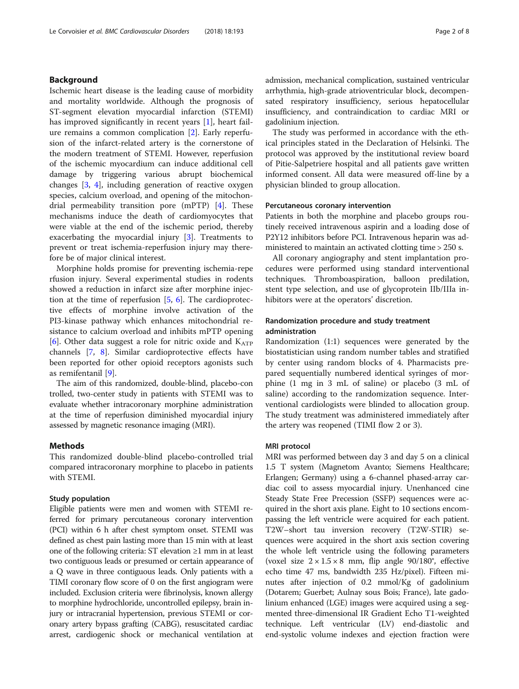## Background

Ischemic heart disease is the leading cause of morbidity and mortality worldwide. Although the prognosis of ST-segment elevation myocardial infarction (STEMI) has improved significantly in recent years [\[1](#page-7-0)], heart failure remains a common complication [[2\]](#page-7-0). Early reperfusion of the infarct-related artery is the cornerstone of the modern treatment of STEMI. However, reperfusion of the ischemic myocardium can induce additional cell damage by triggering various abrupt biochemical changes [[3,](#page-7-0) [4](#page-7-0)], including generation of reactive oxygen species, calcium overload, and opening of the mitochondrial permeability transition pore (mPTP) [[4\]](#page-7-0). These mechanisms induce the death of cardiomyocytes that were viable at the end of the ischemic period, thereby exacerbating the myocardial injury [\[3](#page-7-0)]. Treatments to prevent or treat ischemia-reperfusion injury may therefore be of major clinical interest.

Morphine holds promise for preventing ischemia-repe rfusion injury. Several experimental studies in rodents showed a reduction in infarct size after morphine injection at the time of reperfusion  $[5, 6]$  $[5, 6]$  $[5, 6]$ . The cardioprotective effects of morphine involve activation of the PI3-kinase pathway which enhances mitochondrial resistance to calcium overload and inhibits mPTP opening [[6\]](#page-7-0). Other data suggest a role for nitric oxide and  $K_{ATP}$ channels [[7,](#page-7-0) [8](#page-7-0)]. Similar cardioprotective effects have been reported for other opioid receptors agonists such as remifentanil [[9\]](#page-7-0).

The aim of this randomized, double-blind, placebo-con trolled, two-center study in patients with STEMI was to evaluate whether intracoronary morphine administration at the time of reperfusion diminished myocardial injury assessed by magnetic resonance imaging (MRI).

## Methods

This randomized double-blind placebo-controlled trial compared intracoronary morphine to placebo in patients with STEMI.

#### Study population

Eligible patients were men and women with STEMI referred for primary percutaneous coronary intervention (PCI) within 6 h after chest symptom onset. STEMI was defined as chest pain lasting more than 15 min with at least one of the following criteria: ST elevation ≥1 mm in at least two contiguous leads or presumed or certain appearance of a Q wave in three contiguous leads. Only patients with a TIMI coronary flow score of 0 on the first angiogram were included. Exclusion criteria were fibrinolysis, known allergy to morphine hydrochloride, uncontrolled epilepsy, brain injury or intracranial hypertension, previous STEMI or coronary artery bypass grafting (CABG), resuscitated cardiac arrest, cardiogenic shock or mechanical ventilation at admission, mechanical complication, sustained ventricular arrhythmia, high-grade atrioventricular block, decompensated respiratory insufficiency, serious hepatocellular insufficiency, and contraindication to cardiac MRI or gadolinium injection.

The study was performed in accordance with the ethical principles stated in the Declaration of Helsinki. The protocol was approved by the institutional review board of Pitie-Salpetriere hospital and all patients gave written informed consent. All data were measured off-line by a physician blinded to group allocation.

#### Percutaneous coronary intervention

Patients in both the morphine and placebo groups routinely received intravenous aspirin and a loading dose of P2Y12 inhibitors before PCI. Intravenous heparin was administered to maintain an activated clotting time > 250 s.

All coronary angiography and stent implantation procedures were performed using standard interventional techniques. Thromboaspiration, balloon predilation, stent type selection, and use of glycoprotein IIb/IIIa inhibitors were at the operators' discretion.

## Randomization procedure and study treatment administration

Randomization (1:1) sequences were generated by the biostatistician using random number tables and stratified by center using random blocks of 4. Pharmacists prepared sequentially numbered identical syringes of morphine (1 mg in 3 mL of saline) or placebo (3 mL of saline) according to the randomization sequence. Interventional cardiologists were blinded to allocation group. The study treatment was administered immediately after the artery was reopened (TIMI flow 2 or 3).

## MRI protocol

MRI was performed between day 3 and day 5 on a clinical 1.5 T system (Magnetom Avanto; Siemens Healthcare; Erlangen; Germany) using a 6-channel phased-array cardiac coil to assess myocardial injury. Unenhanced cine Steady State Free Precession (SSFP) sequences were acquired in the short axis plane. Eight to 10 sections encompassing the left ventricle were acquired for each patient. T2W–short tau inversion recovery (T2W-STIR) sequences were acquired in the short axis section covering the whole left ventricle using the following parameters (voxel size  $2 \times 1.5 \times 8$  mm, flip angle 90/180°, effective echo time 47 ms, bandwidth 235 Hz/pixel). Fifteen minutes after injection of 0.2 mmol/Kg of gadolinium (Dotarem; Guerbet; Aulnay sous Bois; France), late gadolinium enhanced (LGE) images were acquired using a segmented three-dimensional IR Gradient Echo T1-weighted technique. Left ventricular (LV) end-diastolic and end-systolic volume indexes and ejection fraction were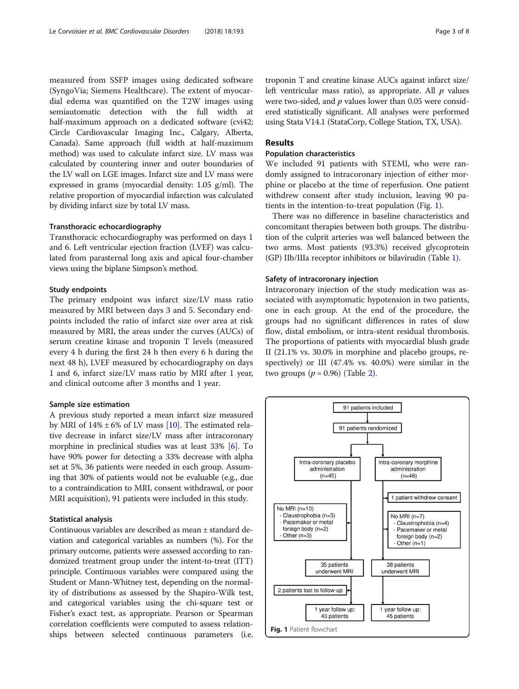<span id="page-2-0"></span>measured from SSFP images using dedicated software (SyngoVia; Siemens Healthcare). The extent of myocardial edema was quantified on the T2W images using semiautomatic detection with the full width at half-maximum approach on a dedicated software (cvi42; Circle Cardiovascular Imaging Inc., Calgary, Alberta, Canada). Same approach (full width at half-maximum method) was used to calculate infarct size. LV mass was calculated by countering inner and outer boundaries of the LV wall on LGE images. Infarct size and LV mass were expressed in grams (myocardial density: 1.05 g/ml). The relative proportion of myocardial infarction was calculated by dividing infarct size by total LV mass.

#### Transthoracic echocardiography

Transthoracic echocardiography was performed on days 1 and 6. Left ventricular ejection fraction (LVEF) was calculated from parasternal long axis and apical four-chamber views using the biplane Simpson's method.

### Study endpoints

The primary endpoint was infarct size/LV mass ratio measured by MRI between days 3 and 5. Secondary endpoints included the ratio of infarct size over area at risk measured by MRI, the areas under the curves (AUCs) of serum creatine kinase and troponin T levels (measured every 4 h during the first 24 h then every 6 h during the next 48 h), LVEF measured by echocardiography on days 1 and 6, infarct size/LV mass ratio by MRI after 1 year, and clinical outcome after 3 months and 1 year.

#### Sample size estimation

A previous study reported a mean infarct size measured by MRI of  $14\% \pm 6\%$  of LV mass [[10](#page-7-0)]. The estimated relative decrease in infarct size/LV mass after intracoronary morphine in preclinical studies was at least 33% [[6\]](#page-7-0). To have 90% power for detecting a 33% decrease with alpha set at 5%, 36 patients were needed in each group. Assuming that 30% of patients would not be evaluable (e.g., due to a contraindication to MRI, consent withdrawal, or poor MRI acquisition), 91 patients were included in this study.

#### Statistical analysis

Continuous variables are described as mean ± standard deviation and categorical variables as numbers (%). For the primary outcome, patients were assessed according to randomized treatment group under the intent-to-treat (ITT) principle. Continuous variables were compared using the Student or Mann-Whitney test, depending on the normality of distributions as assessed by the Shapiro-Wilk test, and categorical variables using the chi-square test or Fisher's exact test, as appropriate. Pearson or Spearman correlation coefficients were computed to assess relationships between selected continuous parameters (i.e.

troponin T and creatine kinase AUCs against infarct size/ left ventricular mass ratio), as appropriate. All  $p$  values were two-sided, and  $p$  values lower than 0.05 were considered statistically significant. All analyses were performed using Stata V14.1 (StataCorp, College Station, TX, USA).

## Results

## Population characteristics

We included 91 patients with STEMI, who were randomly assigned to intracoronary injection of either morphine or placebo at the time of reperfusion. One patient withdrew consent after study inclusion, leaving 90 patients in the intention-to-treat population (Fig. 1).

There was no difference in baseline characteristics and concomitant therapies between both groups. The distribution of the culprit arteries was well balanced between the two arms. Most patients (93.3%) received glycoprotein (GP) IIb/IIIa receptor inhibitors or bilavirudin (Table [1\)](#page-3-0).

#### Safety of intracoronary injection

Intracoronary injection of the study medication was associated with asymptomatic hypotension in two patients, one in each group. At the end of the procedure, the groups had no significant differences in rates of slow flow, distal embolism, or intra-stent residual thrombosis. The proportions of patients with myocardial blush grade II (21.1% vs. 30.0% in morphine and placebo groups, respectively) or III (47.4% vs. 40.0%) were similar in the two groups  $(p = 0.96)$  (Table [2\)](#page-3-0).

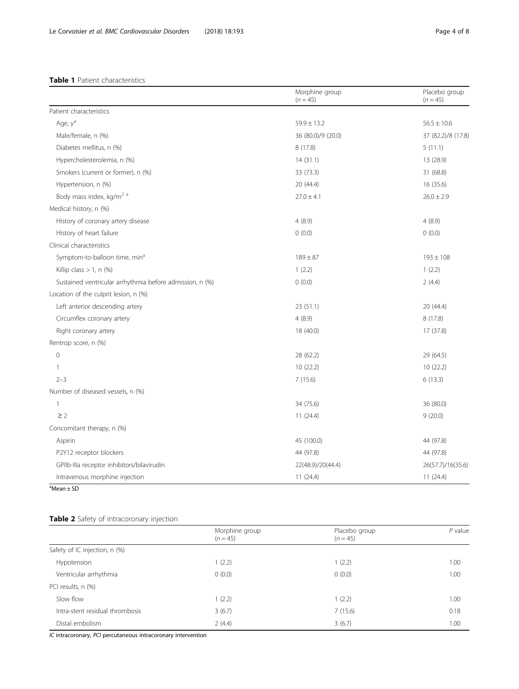## <span id="page-3-0"></span>Table 1 Patient characteristics

|                                                          | Morphine group<br>$(n = 45)$ | Placebo group<br>$(n = 45)$ |
|----------------------------------------------------------|------------------------------|-----------------------------|
| Patient characteristics                                  |                              |                             |
| Age, y <sup>a</sup>                                      | $59.9 \pm 13.2$              | $56.5 \pm 10.6$             |
| Male/female, n (%)                                       | 36 (80.0)/9 (20.0)           | 37 (82.2)/8 (17.8)          |
| Diabetes mellitus, n (%)                                 | 8(17.8)                      | 5(11.1)                     |
| Hypercholesterolemia, n (%)                              | 14(31.1)                     | 13 (28.9)                   |
| Smokers (current or former), n (%)                       | 33 (73.3)                    | 31 (68.8)                   |
| Hypertension, n (%)                                      | 20 (44.4)                    | 16(35.6)                    |
| Body mass index, kg/m <sup>2 a</sup>                     | $27.0 \pm 4.1$               | $26.0 \pm 2.9$              |
| Medical history, n (%)                                   |                              |                             |
| History of coronary artery disease                       | 4(8.9)                       | 4(8.9)                      |
| History of heart failure                                 | 0(0.0)                       | 0(0.0)                      |
| Clinical characteristics                                 |                              |                             |
| Symptom-to-balloon time, min <sup>a</sup>                | $189 \pm 87$                 | $193 \pm 108$               |
| Killip class $> 1$ , n (%)                               | 1(2.2)                       | 1(2.2)                      |
| Sustained ventricular arrhythmia before admission, n (%) | 0(0.0)                       | 2(4.4)                      |
| Location of the culprit lesion, n (%)                    |                              |                             |
| Left anterior descending artery                          | 23(51.1)                     | 20 (44.4)                   |
| Circumflex coronary artery                               | 4(8.9)                       | 8(17.8)                     |
| Right coronary artery                                    | 18 (40.0)                    | 17 (37.8)                   |
| Rentrop score, n (%)                                     |                              |                             |
| $\mathbf{0}$                                             | 28 (62.2)                    | 29 (64.5)                   |
| 1                                                        | 10(22.2)                     | 10(22.2)                    |
| $2 - 3$                                                  | 7(15.6)                      | 6(13.3)                     |
| Number of diseased vessels, n (%)                        |                              |                             |
| $\overline{1}$                                           | 34 (75.6)                    | 36 (80.0)                   |
| $\geq$ 2                                                 | 11(24.4)                     | 9(20.0)                     |
| Concomitant therapy, n (%)                               |                              |                             |
| Aspirin                                                  | 45 (100.0)                   | 44 (97.8)                   |
| P2Y12 receptor blockers                                  | 44 (97.8)                    | 44 (97.8)                   |
| GPIIb-Illa receptor inhibitors/bilavirudin               | 22(48.9)/20(44.4)            | 26(57.7)/16(35.6)           |
| Intravenous morphine injection                           | 11(24.4)                     | 11(24.4)                    |

# Table 2 Safety of intracoronary injection

|                                 | Morphine group<br>$(n = 45)$ | Placebo group<br>$(n = 45)$ | $P$ value |
|---------------------------------|------------------------------|-----------------------------|-----------|
| Safety of IC injection, n (%)   |                              |                             |           |
| Hypotension                     | 1(2.2)                       | 1(2.2)                      | 1.00      |
| Ventricular arrhythmia          | 0(0.0)                       | 0(0.0)                      | 1.00      |
| PCI results, n (%)              |                              |                             |           |
| Slow flow                       | 1(2.2)                       | 1(2.2)                      | 1.00      |
| Intra-stent residual thrombosis | 3(6.7)                       | 7(15.6)                     | 0.18      |
| Distal embolism                 | 2(4.4)                       | 3(6.7)                      | 1.00      |

IC intracoronary, PCI percutaneous intracoronary intervention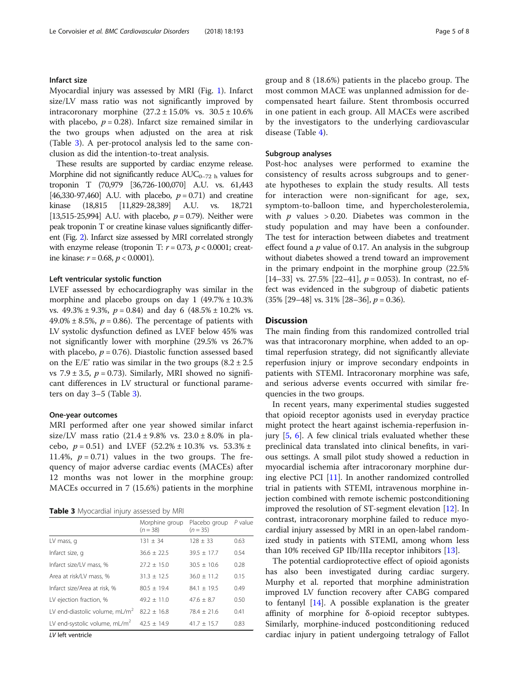## Infarct size

Myocardial injury was assessed by MRI (Fig. [1\)](#page-2-0). Infarct size/LV mass ratio was not significantly improved by intracoronary morphine  $(27.2 \pm 15.0\% \text{ vs. } 30.5 \pm 10.6\%$ with placebo,  $p = 0.28$ ). Infarct size remained similar in the two groups when adjusted on the area at risk (Table 3). A per-protocol analysis led to the same conclusion as did the intention-to-treat analysis.

These results are supported by cardiac enzyme release. Morphine did not significantly reduce  $AUC_{0-72}$  h values for troponin T (70,979 [36,726-100,070] A.U. vs. 61,443 [46,330-97,460] A.U. with placebo,  $p = 0.71$ ) and creatine kinase (18,815 [11,829-28,389] A.U. vs. 18,721 [13,515-25,994] A.U. with placebo,  $p = 0.79$ ). Neither were peak troponin T or creatine kinase values significantly different (Fig. [2](#page-5-0)). Infarct size assessed by MRI correlated strongly with enzyme release (troponin T:  $r = 0.73$ ,  $p < 0.0001$ ; creatine kinase:  $r = 0.68$ ,  $p < 0.0001$ ).

#### Left ventricular systolic function

LVEF assessed by echocardiography was similar in the morphine and placebo groups on day  $1$  (49.7%  $\pm$  10.3%) vs.  $49.3\% \pm 9.3\%, p = 0.84$  and day 6  $(48.5\% \pm 10.2\% \text{ vs.})$ 49.0%  $\pm$  8.5%,  $p = 0.86$ ). The percentage of patients with LV systolic dysfunction defined as LVEF below 45% was not significantly lower with morphine (29.5% vs 26.7% with placebo,  $p = 0.76$ ). Diastolic function assessed based on the  $E/E'$  ratio was similar in the two groups  $(8.2 \pm 2.5)$ vs 7.9  $\pm$  3.5,  $p = 0.73$ ). Similarly, MRI showed no significant differences in LV structural or functional parameters on day 3–5 (Table 3).

## One-year outcomes

MRI performed after one year showed similar infarct size/LV mass ratio  $(21.4 \pm 9.8\% \text{ vs. } 23.0 \pm 8.0\% \text{ in } \text{pla-}$ cebo,  $p = 0.51$ ) and LVEF (52.2% ± 10.3% vs. 53.3% ± 11.4%,  $p = 0.71$ ) values in the two groups. The frequency of major adverse cardiac events (MACEs) after 12 months was not lower in the morphine group: MACEs occurred in 7 (15.6%) patients in the morphine

|  | Table 3 Myocardial injury assessed by MRI |  |  |  |  |
|--|-------------------------------------------|--|--|--|--|
|--|-------------------------------------------|--|--|--|--|

|                                   | Morphine group<br>$(n = 38)$ | Placebo group<br>$(n = 35)$ | $P$ value |
|-----------------------------------|------------------------------|-----------------------------|-----------|
| LV mass, q                        | $131 \pm 34$                 | $128 + 33$                  | 0.63      |
| Infarct size, q                   | $36.6 + 22.5$                | $39.5 + 17.7$               | 0.54      |
| Infarct size/LV mass, %           | $27.2 + 15.0$                | $30.5 + 10.6$               | 0.28      |
| Area at risk/LV mass, %           | $31.3 + 12.5$                | $36.0 + 11.2$               | 0.15      |
| Infarct size/Area at risk. %      | $80.5 + 19.4$                | $84.1 + 19.5$               | 0.49      |
| LV ejection fraction, %           | $49.2 + 11.0$                | $47.6 + 8.7$                | 0.50      |
| LV end-diastolic volume, $mL/m^2$ | $82.2 + 16.8$                | $78.4 + 21.6$               | 0.41      |
| LV end-systolic volume, $mL/m2$   | $42.5 \pm 14.9$              | $41.7 + 15.7$               | 0.83      |

LV left ventricle

group and 8 (18.6%) patients in the placebo group. The most common MACE was unplanned admission for decompensated heart failure. Stent thrombosis occurred in one patient in each group. All MACEs were ascribed by the investigators to the underlying cardiovascular disease (Table [4\)](#page-5-0).

### Subgroup analyses

Post-hoc analyses were performed to examine the consistency of results across subgroups and to generate hypotheses to explain the study results. All tests for interaction were non-significant for age, sex, symptom-to-balloon time, and hypercholesterolemia, with  $p$  values > 0.20. Diabetes was common in the study population and may have been a confounder. The test for interaction between diabetes and treatment effect found a  $p$  value of 0.17. An analysis in the subgroup without diabetes showed a trend toward an improvement in the primary endpoint in the morphine group (22.5% [14–33] vs. 27.5% [22–41],  $p = 0.053$ ). In contrast, no effect was evidenced in the subgroup of diabetic patients  $(35\% [29-48] \text{ vs. } 31\% [28-36], p = 0.36).$ 

#### **Discussion**

The main finding from this randomized controlled trial was that intracoronary morphine, when added to an optimal reperfusion strategy, did not significantly alleviate reperfusion injury or improve secondary endpoints in patients with STEMI. Intracoronary morphine was safe, and serious adverse events occurred with similar frequencies in the two groups.

In recent years, many experimental studies suggested that opioid receptor agonists used in everyday practice might protect the heart against ischemia-reperfusion injury [[5,](#page-7-0) [6](#page-7-0)]. A few clinical trials evaluated whether these preclinical data translated into clinical benefits, in various settings. A small pilot study showed a reduction in myocardial ischemia after intracoronary morphine during elective PCI [[11\]](#page-7-0). In another randomized controlled trial in patients with STEMI, intravenous morphine injection combined with remote ischemic postconditioning improved the resolution of ST-segment elevation [[12\]](#page-7-0). In contrast, intracoronary morphine failed to reduce myocardial injury assessed by MRI in an open-label randomized study in patients with STEMI, among whom less than 10% received GP IIb/IIIa receptor inhibitors [[13\]](#page-7-0).

The potential cardioprotective effect of opioid agonists has also been investigated during cardiac surgery. Murphy et al. reported that morphine administration improved LV function recovery after CABG compared to fentanyl [[14\]](#page-7-0). A possible explanation is the greater affinity of morphine for δ-opioid receptor subtypes. Similarly, morphine-induced postconditioning reduced cardiac injury in patient undergoing tetralogy of Fallot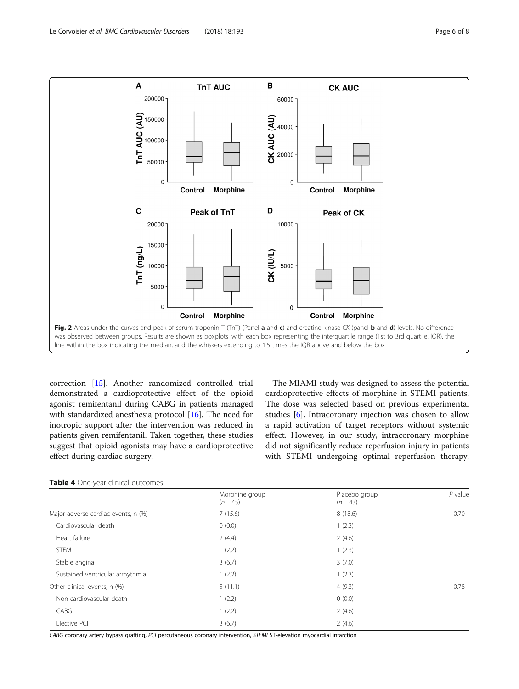<span id="page-5-0"></span>

correction [[15](#page-7-0)]. Another randomized controlled trial demonstrated a cardioprotective effect of the opioid agonist remifentanil during CABG in patients managed with standardized anesthesia protocol [\[16](#page-7-0)]. The need for inotropic support after the intervention was reduced in patients given remifentanil. Taken together, these studies suggest that opioid agonists may have a cardioprotective effect during cardiac surgery.

The MIAMI study was designed to assess the potential cardioprotective effects of morphine in STEMI patients. The dose was selected based on previous experimental studies [[6\]](#page-7-0). Intracoronary injection was chosen to allow a rapid activation of target receptors without systemic effect. However, in our study, intracoronary morphine did not significantly reduce reperfusion injury in patients with STEMI undergoing optimal reperfusion therapy.

| Table 4 One-year clinical outcomes |  |
|------------------------------------|--|
|------------------------------------|--|

|                                     | Morphine group<br>$(n = 45)$ | Placebo group<br>$(n = 43)$ | $P$ value |
|-------------------------------------|------------------------------|-----------------------------|-----------|
| Major adverse cardiac events, n (%) | 7(15.6)                      | 8(18.6)                     | 0.70      |
| Cardiovascular death                | 0(0.0)                       | 1(2.3)                      |           |
| Heart failure                       | 2(4.4)                       | 2(4.6)                      |           |
| <b>STEMI</b>                        | 1(2.2)                       | 1(2.3)                      |           |
| Stable angina                       | 3(6.7)                       | 3(7.0)                      |           |
| Sustained ventricular arrhythmia    | 1(2.2)                       | 1(2.3)                      |           |
| Other clinical events, n (%)        | 5(11.1)                      | 4(9.3)                      | 0.78      |
| Non-cardiovascular death            | 1(2.2)                       | 0(0.0)                      |           |
| CABG                                | 1(2.2)                       | 2(4.6)                      |           |
| Elective PCI                        | 3(6.7)                       | 2(4.6)                      |           |

CABG coronary artery bypass grafting, PCI percutaneous coronary intervention, STEMI ST-elevation myocardial infarction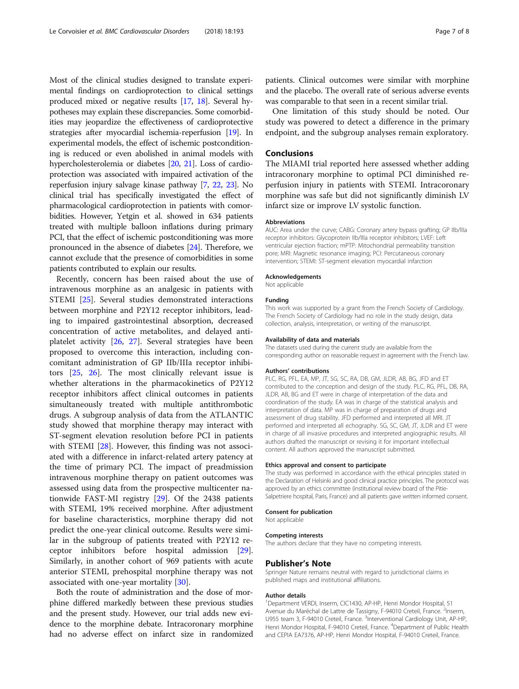Most of the clinical studies designed to translate experimental findings on cardioprotection to clinical settings produced mixed or negative results [\[17,](#page-7-0) [18\]](#page-7-0). Several hypotheses may explain these discrepancies. Some comorbidities may jeopardize the effectiveness of cardioprotective strategies after myocardial ischemia-reperfusion [\[19\]](#page-7-0). In experimental models, the effect of ischemic postconditioning is reduced or even abolished in animal models with hypercholesterolemia or diabetes [[20](#page-7-0), [21\]](#page-7-0). Loss of cardioprotection was associated with impaired activation of the reperfusion injury salvage kinase pathway [\[7,](#page-7-0) [22](#page-7-0), [23](#page-7-0)]. No clinical trial has specifically investigated the effect of pharmacological cardioprotection in patients with comorbidities. However, Yetgin et al. showed in 634 patients treated with multiple balloon inflations during primary PCI, that the effect of ischemic postconditioning was more pronounced in the absence of diabetes [\[24\]](#page-7-0). Therefore, we cannot exclude that the presence of comorbidities in some patients contributed to explain our results.

Recently, concern has been raised about the use of intravenous morphine as an analgesic in patients with STEMI [\[25](#page-7-0)]. Several studies demonstrated interactions between morphine and P2Y12 receptor inhibitors, leading to impaired gastrointestinal absorption, decreased concentration of active metabolites, and delayed antiplatelet activity [\[26](#page-7-0), [27\]](#page-7-0). Several strategies have been proposed to overcome this interaction, including concomitant administration of GP IIb/IIIa receptor inhibitors [[25,](#page-7-0) [26\]](#page-7-0). The most clinically relevant issue is whether alterations in the pharmacokinetics of P2Y12 receptor inhibitors affect clinical outcomes in patients simultaneously treated with multiple antithrombotic drugs. A subgroup analysis of data from the ATLANTIC study showed that morphine therapy may interact with ST-segment elevation resolution before PCI in patients with STEMI [[28\]](#page-7-0). However, this finding was not associated with a difference in infarct-related artery patency at the time of primary PCI. The impact of preadmission intravenous morphine therapy on patient outcomes was assessed using data from the prospective multicenter nationwide FAST-MI registry [[29](#page-7-0)]. Of the 2438 patients with STEMI, 19% received morphine. After adjustment for baseline characteristics, morphine therapy did not predict the one-year clinical outcome. Results were similar in the subgroup of patients treated with P2Y12 receptor inhibitors before hospital admission [\[29](#page-7-0)]. Similarly, in another cohort of 969 patients with acute anterior STEMI, prehospital morphine therapy was not associated with one-year mortality [\[30](#page-7-0)].

Both the route of administration and the dose of morphine differed markedly between these previous studies and the present study. However, our trial adds new evidence to the morphine debate. Intracoronary morphine had no adverse effect on infarct size in randomized

patients. Clinical outcomes were similar with morphine and the placebo. The overall rate of serious adverse events was comparable to that seen in a recent similar trial.

One limitation of this study should be noted. Our study was powered to detect a difference in the primary endpoint, and the subgroup analyses remain exploratory.

#### **Conclusions**

The MIAMI trial reported here assessed whether adding intracoronary morphine to optimal PCI diminished reperfusion injury in patients with STEMI. Intracoronary morphine was safe but did not significantly diminish LV infarct size or improve LV systolic function.

#### **Abbreviations**

AUC: Area under the curve; CABG: Coronary artery bypass grafting; GP IIb/IIIa receptor inhibitors: Glycoprotein IIb/IIIa receptor inhibitors; LVEF: Left ventricular ejection fraction; mPTP: Mitochondrial permeability transition pore; MRI: Magnetic resonance imaging; PCI: Percutaneous coronary intervention; STEMI: ST-segment elevation myocardial infarction

#### Acknowledgements

Not applicable

#### Funding

This work was supported by a grant from the French Society of Cardiology. The French Society of Cardiology had no role in the study design, data collection, analysis, interpretation, or writing of the manuscript.

#### Availability of data and materials

The datasets used during the current study are available from the corresponding author on reasonable request in agreement with the French law.

#### Authors' contributions

PLC, RG, PFL, EA, MP, JT, SG, SC, RA, DB, GM, JLDR, AB, BG, JFD and ET contributed to the conception and design of the study. PLC, RG, PFL, DB, RA, JLDR, AB, BG and ET were in charge of interpretation of the data and coordination of the study. EA was in charge of the statistical analysis and interpretation of data. MP was in charge of preparation of drugs and assessment of drug stability. JFD performed and interpreted all MRI. JT performed and interpreted all echography. SG, SC, GM, JT, JLDR and ET were in charge of all invasive procedures and interpreted angiographic results. All authors drafted the manuscript or revising it for important intellectual content. All authors approved the manuscript submitted.

#### Ethics approval and consent to participate

The study was performed in accordance with the ethical principles stated in the Declaration of Helsinki and good clinical practice principles. The protocol was approved by an ethics committee (institutional review board of the Pitie-Salpetriere hospital, Paris, France) and all patients gave written informed consent.

#### Consent for publication

Not applicable

#### Competing interests

The authors declare that they have no competing interests.

#### Publisher's Note

Springer Nature remains neutral with regard to jurisdictional claims in published maps and institutional affiliations.

#### Author details

<sup>1</sup>Department VERDI, Inserm, CIC1430, AP-HP, Henri Mondor Hospital, 51 Avenue du Maréchal de Lattre de Tassigny, F-94010 Creteil, France. <sup>2</sup>Inserm, U955 team 3, F-94010 Creteil, France. <sup>3</sup>Interventional Cardiology Unit, AP-HP Henri Mondor Hospital, F-94010 Creteil, France. <sup>4</sup>Department of Public Health and CEPIA EA7376, AP-HP, Henri Mondor Hospital, F-94010 Creteil, France.